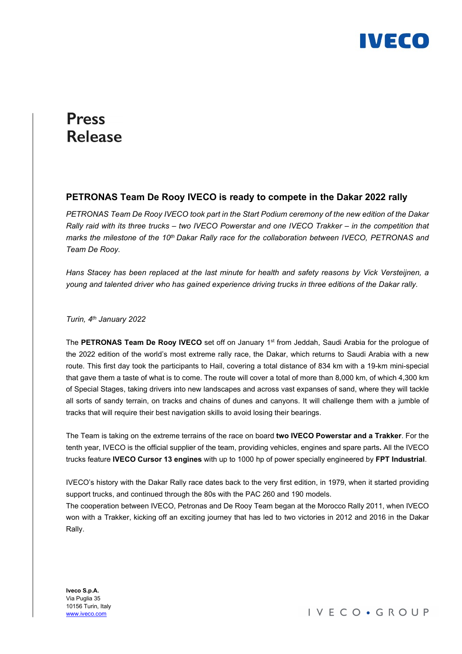

# **Press Release**

## PETRONAS Team De Rooy IVECO is ready to compete in the Dakar 2022 rally

PETRONAS Team De Rooy IVECO took part in the Start Podium ceremony of the new edition of the Dakar Rally raid with its three trucks – two IVECO Powerstar and one IVECO Trakker – in the competition that marks the milestone of the 10<sup>th</sup> Dakar Rally race for the collaboration between IVECO, PETRONAS and Team De Rooy.

Hans Stacey has been replaced at the last minute for health and safety reasons by Vick Versteijnen, a young and talented driver who has gained experience driving trucks in three editions of the Dakar rally.

Turin, 4th January 2022

The PETRONAS Team De Rooy IVECO set off on January 1<sup>st</sup> from Jeddah, Saudi Arabia for the prologue of the 2022 edition of the world's most extreme rally race, the Dakar, which returns to Saudi Arabia with a new route. This first day took the participants to Hail, covering a total distance of 834 km with a 19-km mini-special that gave them a taste of what is to come. The route will cover a total of more than 8,000 km, of which 4,300 km of Special Stages, taking drivers into new landscapes and across vast expanses of sand, where they will tackle all sorts of sandy terrain, on tracks and chains of dunes and canyons. It will challenge them with a jumble of tracks that will require their best navigation skills to avoid losing their bearings.

The Team is taking on the extreme terrains of the race on board two IVECO Powerstar and a Trakker. For the tenth year, IVECO is the official supplier of the team, providing vehicles, engines and spare parts. All the IVECO trucks feature IVECO Cursor 13 engines with up to 1000 hp of power specially engineered by FPT Industrial.

IVECO's history with the Dakar Rally race dates back to the very first edition, in 1979, when it started providing support trucks, and continued through the 80s with the PAC 260 and 190 models.

The cooperation between IVECO, Petronas and De Rooy Team began at the Morocco Rally 2011, when IVECO won with a Trakker, kicking off an exciting journey that has led to two victories in 2012 and 2016 in the Dakar Rally.

Iveco S.p.A. Via Puglia 35 10156 Turin, Italy www.iveco.com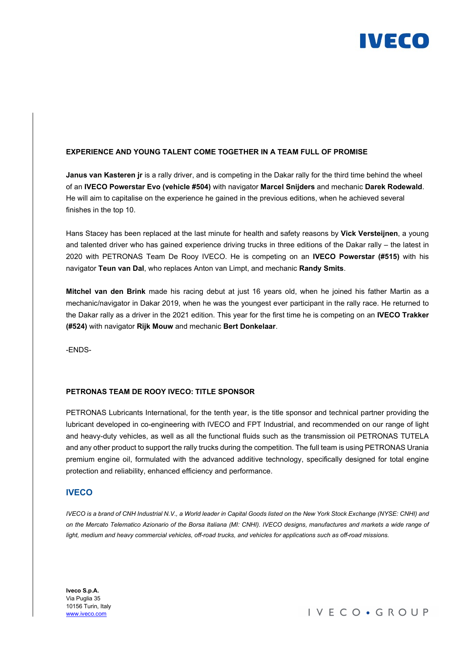

#### EXPERIENCE AND YOUNG TALENT COME TOGETHER IN A TEAM FULL OF PROMISE

Janus van Kasteren ir is a rally driver, and is competing in the Dakar rally for the third time behind the wheel of an IVECO Powerstar Evo (vehicle #504) with navigator Marcel Snijders and mechanic Darek Rodewald. He will aim to capitalise on the experience he gained in the previous editions, when he achieved several finishes in the top 10.

Hans Stacey has been replaced at the last minute for health and safety reasons by Vick Versteijnen, a young and talented driver who has gained experience driving trucks in three editions of the Dakar rally – the latest in 2020 with PETRONAS Team De Rooy IVECO. He is competing on an IVECO Powerstar (#515) with his navigator Teun van Dal, who replaces Anton van Limpt, and mechanic Randy Smits.

Mitchel van den Brink made his racing debut at just 16 years old, when he joined his father Martin as a mechanic/navigator in Dakar 2019, when he was the youngest ever participant in the rally race. He returned to the Dakar rally as a driver in the 2021 edition. This year for the first time he is competing on an IVECO Trakker (#524) with navigator Rijk Mouw and mechanic Bert Donkelaar.

-ENDS-

#### PETRONAS TEAM DE ROOY IVECO: TITLE SPONSOR

PETRONAS Lubricants International, for the tenth year, is the title sponsor and technical partner providing the lubricant developed in co-engineering with IVECO and FPT Industrial, and recommended on our range of light and heavy-duty vehicles, as well as all the functional fluids such as the transmission oil PETRONAS TUTELA and any other product to support the rally trucks during the competition. The full team is using PETRONAS Urania premium engine oil, formulated with the advanced additive technology, specifically designed for total engine protection and reliability, enhanced efficiency and performance.

### **IVECO**

IVECO is a brand of CNH Industrial N.V., a World leader in Capital Goods listed on the New York Stock Exchange (NYSE: CNHI) and on the Mercato Telematico Azionario of the Borsa Italiana (MI: CNHI). IVECO designs, manufactures and markets a wide range of light, medium and heavy commercial vehicles, off-road trucks, and vehicles for applications such as off-road missions.

Iveco S.p.A. Via Puglia 35 10156 Turin, Italy www.iveco.com